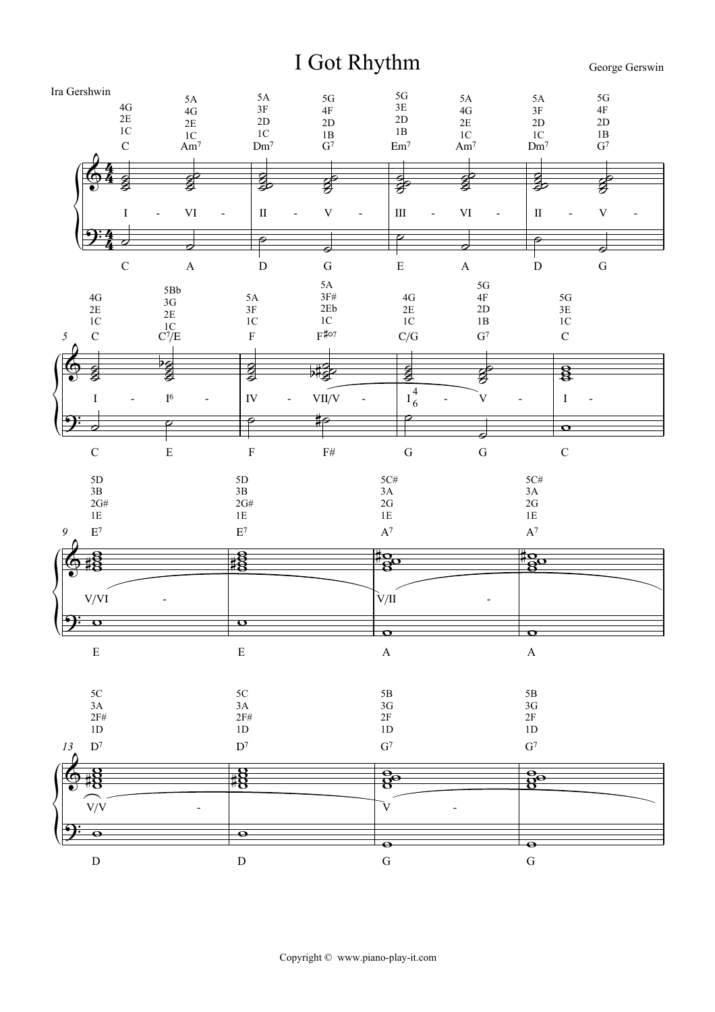## I Got Rhythm

George Gerswin